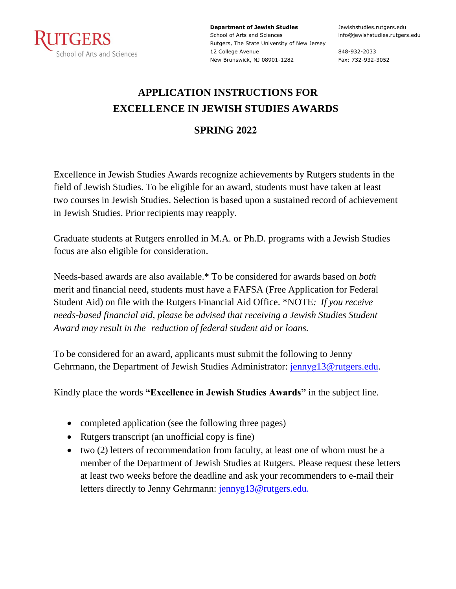

**Department of Jewish Studies** School of Arts and Sciences Rutgers, The State University of New Jersey 12 College Avenue New Brunswick, NJ 08901-1282

Jewishstudies.rutgers.edu info@jewishstudies.rutgers.edu

848-932-2033 Fax: 732-932-3052

### **APPLICATION INSTRUCTIONS FOR EXCELLENCE IN JEWISH STUDIES AWARDS**

#### **SPRING 2022**

Excellence in Jewish Studies Awards recognize achievements by Rutgers students in the field of Jewish Studies. To be eligible for an award, students must have taken at least two courses in Jewish Studies. Selection is based upon a sustained record of achievement in Jewish Studies. Prior recipients may reapply.

Graduate students at Rutgers enrolled in M.A. or Ph.D. programs with a Jewish Studies focus are also eligible for consideration.

Needs-based awards are also available.\* To be considered for awards based on *both*  merit and financial need, students must have a FAFSA (Free Application for Federal Student Aid) on file with the Rutgers Financial Aid Office. \*NOTE*: If you receive needs-based financial aid, please be advised that receiving a Jewish Studies Student Award may result in the reduction of federal student aid or loans.*

To be considered for an award, applicants must submit the following to Jenny Gehrmann, the Department of Jewish Studies Administrator: jennyg13@rutgers.edu.

Kindly place the words **"Excellence in Jewish Studies Awards"** in the subject line.

- completed application (see the following three pages)
- Rutgers transcript (an unofficial copy is fine)
- two (2) letters of recommendation from faculty, at least one of whom must be a member of the Department of Jewish Studies at Rutgers. Please request these letters at least two weeks before the deadline and ask your recommenders to e-mail their letters directly to Jenny Gehrmann: jennyg13@rutgers.edu.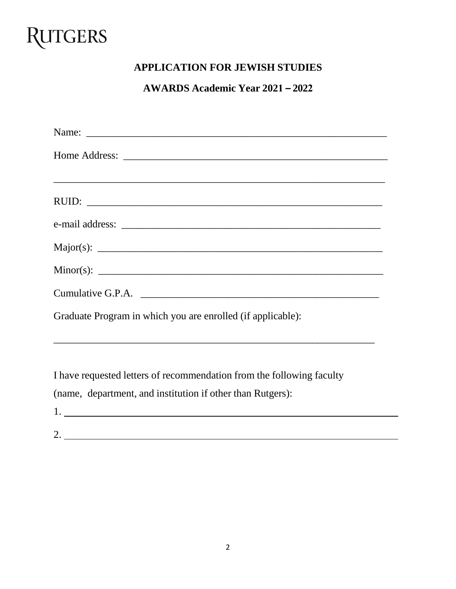# **RUTGERS**

### **APPLICATION FOR JEWISH STUDIES**

#### **AWARDS Academic Year 2021 – 2022**

| Cumulative G.P.A.                                                                |
|----------------------------------------------------------------------------------|
| Graduate Program in which you are enrolled (if applicable):                      |
| ,我们也不能会在这里,我们的人们就会在这里,我们的人们就会在这里,我们的人们就会在这里,我们的人们就会在这里,我们的人们就会在这里,我们的人们就会在这里,我们的 |
| I have requested letters of recommendation from the following faculty            |
| (name, department, and institution if other than Rutgers):                       |

1. 2.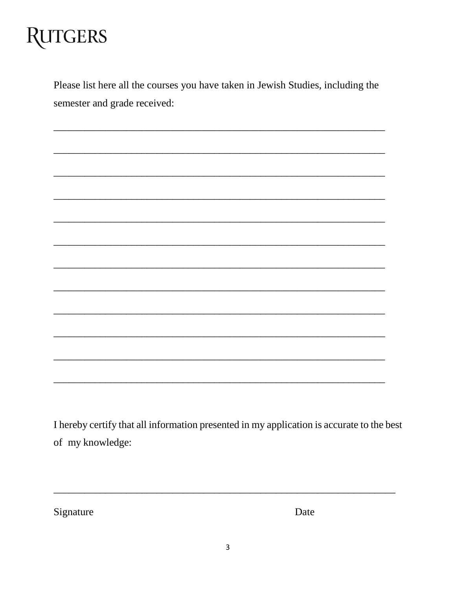# **RUTGERS**

Please list here all the courses you have taken in Jewish Studies, including the semester and grade received:

I hereby certify that all information presented in my application is accurate to the best of my knowledge:

Signature

Date